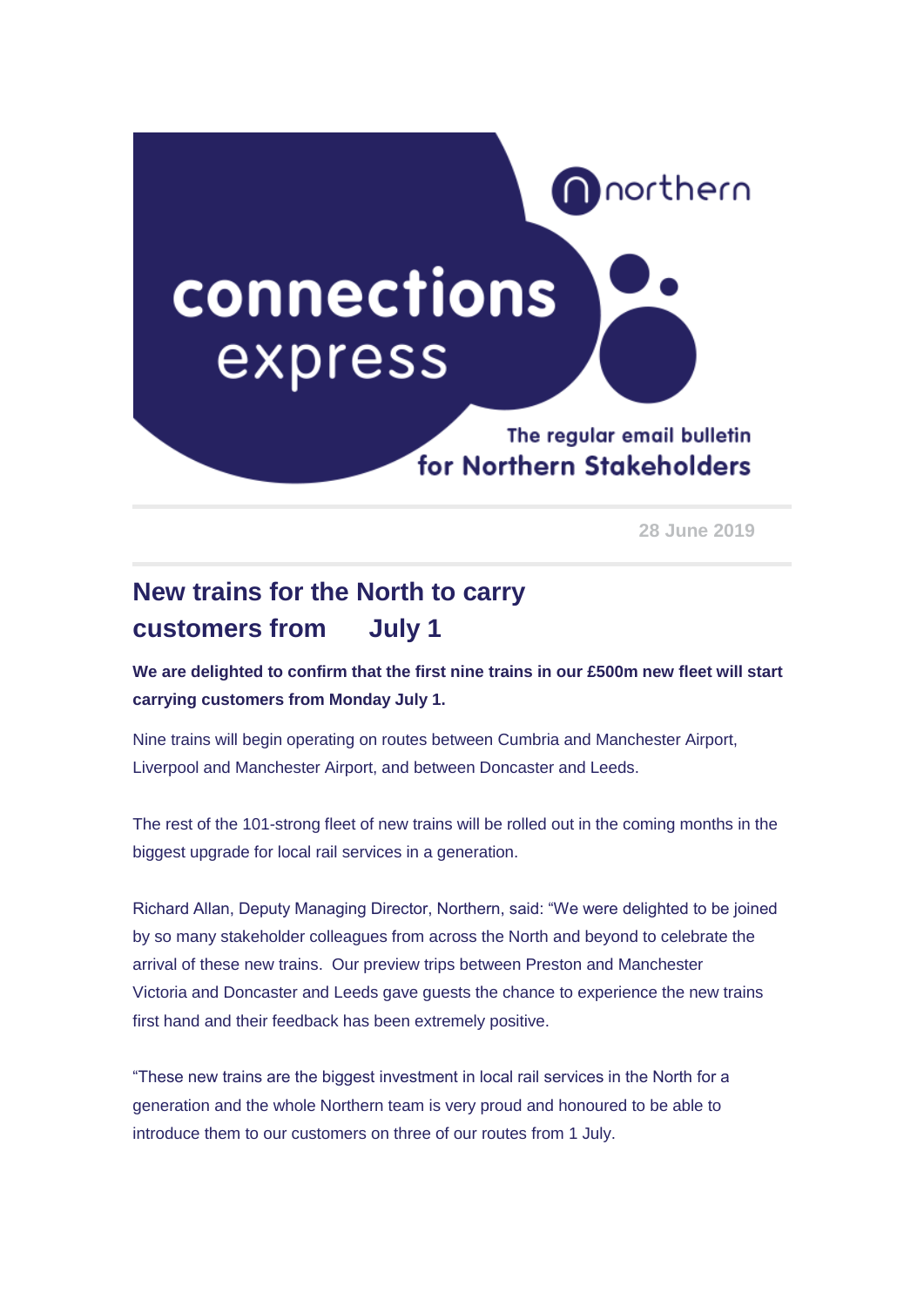

**28 June 2019** 

## **New trains for the North to carry customers from July 1**

**We are delighted to confirm that the first nine trains in our £500m new fleet will start carrying customers from Monday July 1.**

Nine trains will begin operating on routes between Cumbria and Manchester Airport, Liverpool and Manchester Airport, and between Doncaster and Leeds.

The rest of the 101-strong fleet of new trains will be rolled out in the coming months in the biggest upgrade for local rail services in a generation.

Richard Allan, Deputy Managing Director, Northern, said: "We were delighted to be joined by so many stakeholder colleagues from across the North and beyond to celebrate the arrival of these new trains. Our preview trips between Preston and Manchester Victoria and Doncaster and Leeds gave guests the chance to experience the new trains first hand and their feedback has been extremely positive.

"These new trains are the biggest investment in local rail services in the North for a generation and the whole Northern team is very proud and honoured to be able to introduce them to our customers on three of our routes from 1 July.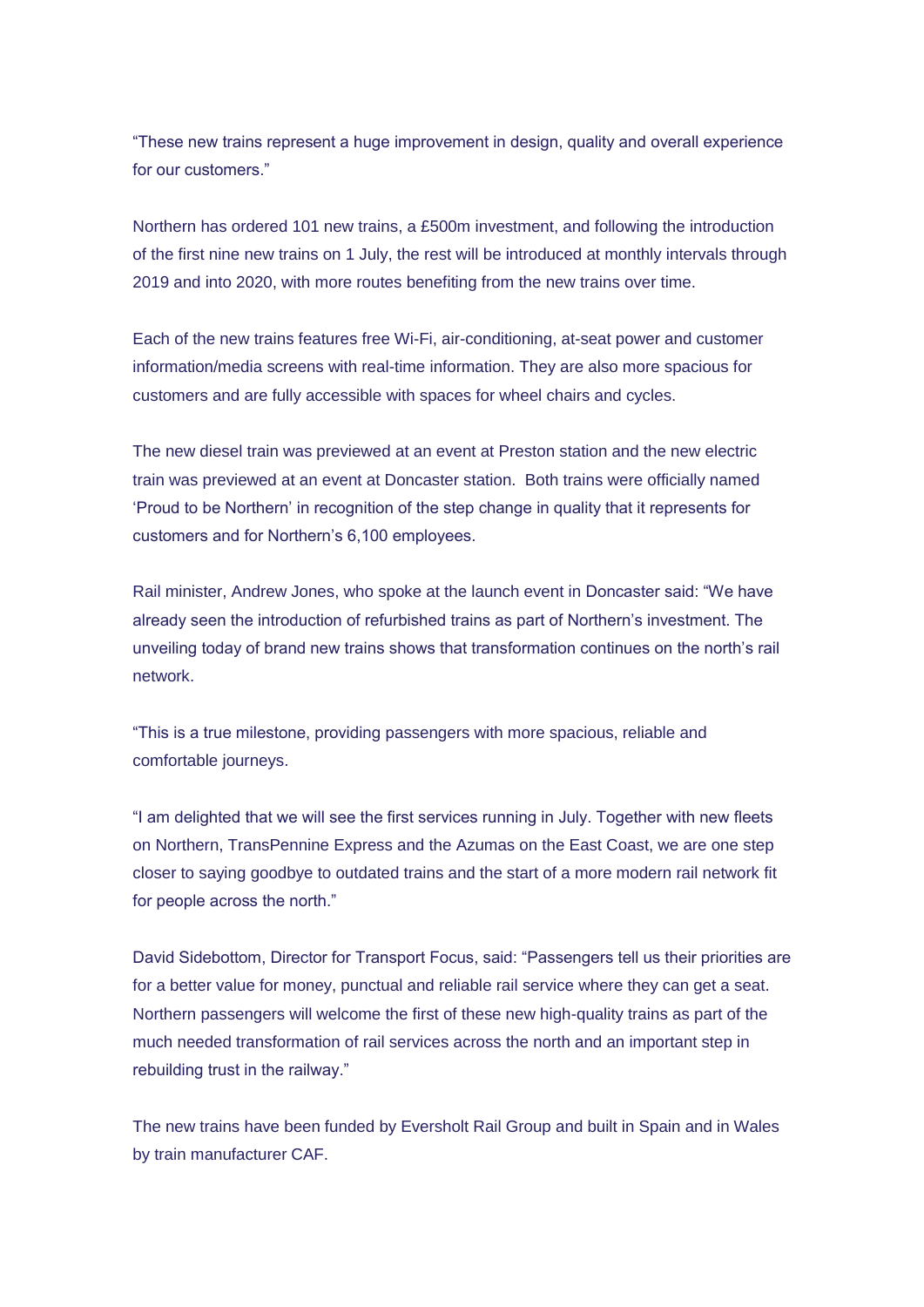"These new trains represent a huge improvement in design, quality and overall experience for our customers."

Northern has ordered 101 new trains, a £500m investment, and following the introduction of the first nine new trains on 1 July, the rest will be introduced at monthly intervals through 2019 and into 2020, with more routes benefiting from the new trains over time.

Each of the new trains features free Wi-Fi, air-conditioning, at-seat power and customer information/media screens with real-time information. They are also more spacious for customers and are fully accessible with spaces for wheel chairs and cycles.

The new diesel train was previewed at an event at Preston station and the new electric train was previewed at an event at Doncaster station. Both trains were officially named 'Proud to be Northern' in recognition of the step change in quality that it represents for customers and for Northern's 6,100 employees.

Rail minister, Andrew Jones, who spoke at the launch event in Doncaster said: "We have already seen the introduction of refurbished trains as part of Northern's investment. The unveiling today of brand new trains shows that transformation continues on the north's rail network.

"This is a true milestone, providing passengers with more spacious, reliable and comfortable journeys.

"I am delighted that we will see the first services running in July. Together with new fleets on Northern, TransPennine Express and the Azumas on the East Coast, we are one step closer to saying goodbye to outdated trains and the start of a more modern rail network fit for people across the north."

David Sidebottom, Director for Transport Focus, said: "Passengers tell us their priorities are for a better value for money, punctual and reliable rail service where they can get a seat. Northern passengers will welcome the first of these new high-quality trains as part of the much needed transformation of rail services across the north and an important step in rebuilding trust in the railway."

The new trains have been funded by Eversholt Rail Group and built in Spain and in Wales by train manufacturer CAF.